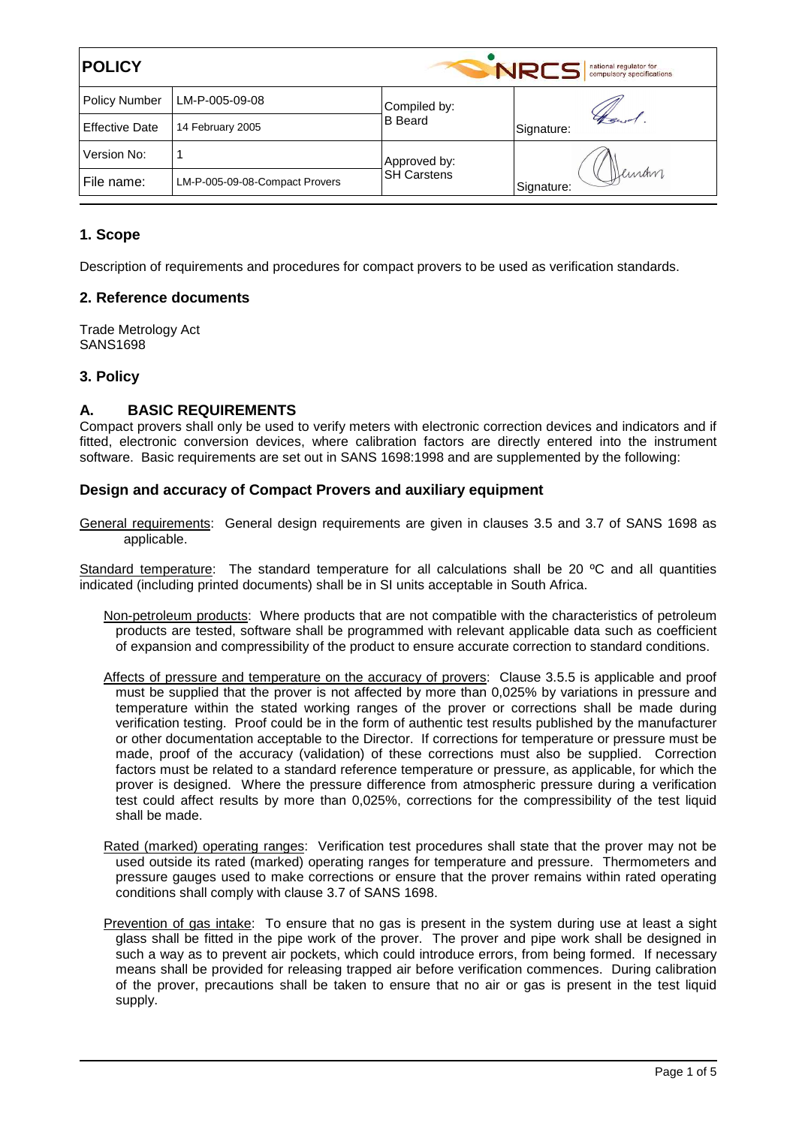| <b>POLICY</b>         |                                |                                    | national regulator for<br>NRCS<br>compulsory specifications |
|-----------------------|--------------------------------|------------------------------------|-------------------------------------------------------------|
| <b>Policy Number</b>  | LM-P-005-09-08                 | Compiled by:<br><b>B</b> Beard     | Heur<br>Signature:                                          |
| <b>Effective Date</b> | 14 February 2005               |                                    |                                                             |
| Version No:           |                                | Approved by:<br><b>SH Carstens</b> | Deman<br>Signature:                                         |
| File name:            | LM-P-005-09-08-Compact Provers |                                    |                                                             |

## **1. Scope**

Description of requirements and procedures for compact provers to be used as verification standards.

#### **2. Reference documents**

Trade Metrology Act SANS1698

#### **3. Policy**

### **A. BASIC REQUIREMENTS**

Compact provers shall only be used to verify meters with electronic correction devices and indicators and if fitted, electronic conversion devices, where calibration factors are directly entered into the instrument software. Basic requirements are set out in SANS 1698:1998 and are supplemented by the following:

#### **Design and accuracy of Compact Provers and auxiliary equipment**

General requirements: General design requirements are given in clauses 3.5 and 3.7 of SANS 1698 as applicable.

 Standard temperature: The standard temperature for all calculations shall be 20 ºC and all quantities indicated (including printed documents) shall be in SI units acceptable in South Africa.

- Non-petroleum products: Where products that are not compatible with the characteristics of petroleum products are tested, software shall be programmed with relevant applicable data such as coefficient of expansion and compressibility of the product to ensure accurate correction to standard conditions.
- Affects of pressure and temperature on the accuracy of provers: Clause 3.5.5 is applicable and proof must be supplied that the prover is not affected by more than 0,025% by variations in pressure and temperature within the stated working ranges of the prover or corrections shall be made during verification testing. Proof could be in the form of authentic test results published by the manufacturer or other documentation acceptable to the Director. If corrections for temperature or pressure must be made, proof of the accuracy (validation) of these corrections must also be supplied. Correction factors must be related to a standard reference temperature or pressure, as applicable, for which the prover is designed. Where the pressure difference from atmospheric pressure during a verification test could affect results by more than 0,025%, corrections for the compressibility of the test liquid shall be made.
- Rated (marked) operating ranges: Verification test procedures shall state that the prover may not be used outside its rated (marked) operating ranges for temperature and pressure. Thermometers and pressure gauges used to make corrections or ensure that the prover remains within rated operating conditions shall comply with clause 3.7 of SANS 1698.
- Prevention of gas intake: To ensure that no gas is present in the system during use at least a sight glass shall be fitted in the pipe work of the prover. The prover and pipe work shall be designed in such a way as to prevent air pockets, which could introduce errors, from being formed. If necessary means shall be provided for releasing trapped air before verification commences. During calibration of the prover, precautions shall be taken to ensure that no air or gas is present in the test liquid supply.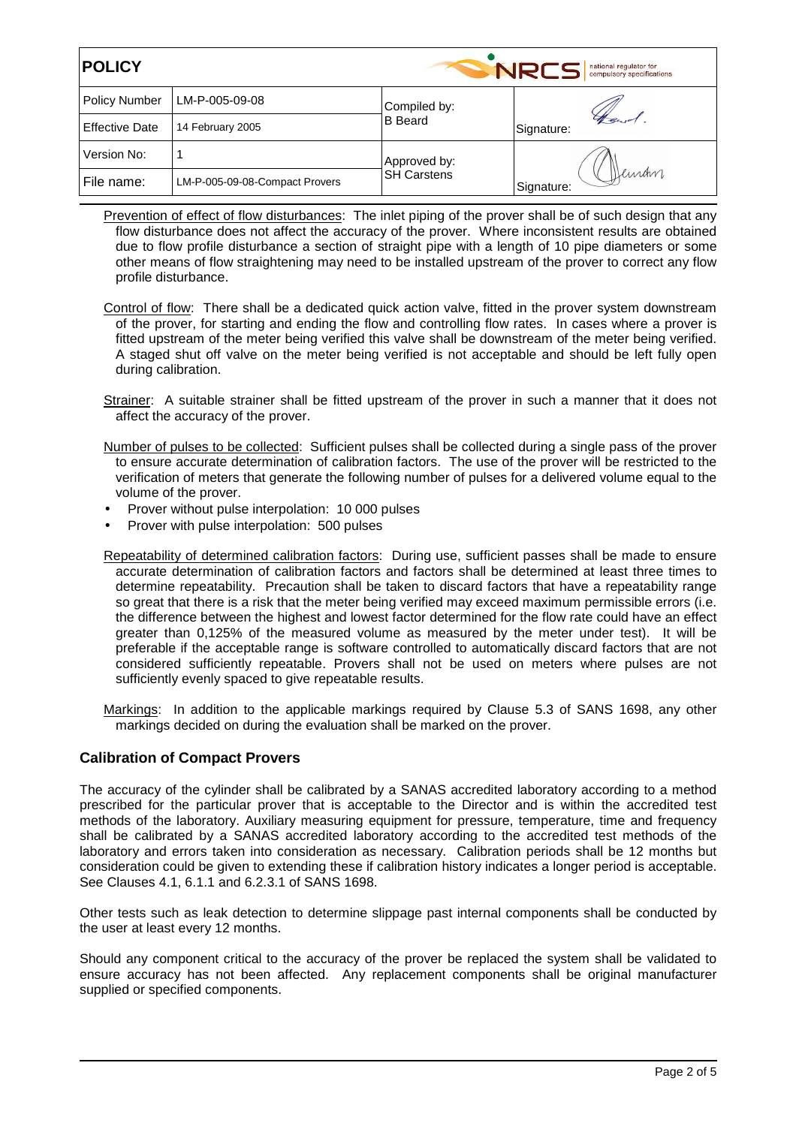| <b>POLICY</b>         |                                |                                    | national regulator for<br>NRCS<br>compulsory specifications |
|-----------------------|--------------------------------|------------------------------------|-------------------------------------------------------------|
| <b>Policy Number</b>  | LM-P-005-09-08                 | Compiled by:                       | Signature:                                                  |
| <b>Effective Date</b> | 14 February 2005               | <b>B</b> Beard                     |                                                             |
| Version No:           |                                | Approved by:<br><b>SH Carstens</b> | Deman<br>Signature:                                         |
| File name:            | LM-P-005-09-08-Compact Provers |                                    |                                                             |

Prevention of effect of flow disturbances: The inlet piping of the prover shall be of such design that any flow disturbance does not affect the accuracy of the prover. Where inconsistent results are obtained due to flow profile disturbance a section of straight pipe with a length of 10 pipe diameters or some other means of flow straightening may need to be installed upstream of the prover to correct any flow profile disturbance.

- Control of flow: There shall be a dedicated quick action valve, fitted in the prover system downstream of the prover, for starting and ending the flow and controlling flow rates. In cases where a prover is fitted upstream of the meter being verified this valve shall be downstream of the meter being verified. A staged shut off valve on the meter being verified is not acceptable and should be left fully open during calibration.
- Strainer: A suitable strainer shall be fitted upstream of the prover in such a manner that it does not affect the accuracy of the prover.
- Number of pulses to be collected: Sufficient pulses shall be collected during a single pass of the prover to ensure accurate determination of calibration factors. The use of the prover will be restricted to the verification of meters that generate the following number of pulses for a delivered volume equal to the volume of the prover.
- Prover without pulse interpolation: 10 000 pulses
- Prover with pulse interpolation: 500 pulses

Repeatability of determined calibration factors: During use, sufficient passes shall be made to ensure accurate determination of calibration factors and factors shall be determined at least three times to determine repeatability. Precaution shall be taken to discard factors that have a repeatability range so great that there is a risk that the meter being verified may exceed maximum permissible errors (i.e. the difference between the highest and lowest factor determined for the flow rate could have an effect greater than 0,125% of the measured volume as measured by the meter under test). It will be preferable if the acceptable range is software controlled to automatically discard factors that are not considered sufficiently repeatable. Provers shall not be used on meters where pulses are not sufficiently evenly spaced to give repeatable results.

 Markings: In addition to the applicable markings required by Clause 5.3 of SANS 1698, any other markings decided on during the evaluation shall be marked on the prover.

#### **Calibration of Compact Provers**

The accuracy of the cylinder shall be calibrated by a SANAS accredited laboratory according to a method prescribed for the particular prover that is acceptable to the Director and is within the accredited test methods of the laboratory. Auxiliary measuring equipment for pressure, temperature, time and frequency shall be calibrated by a SANAS accredited laboratory according to the accredited test methods of the laboratory and errors taken into consideration as necessary. Calibration periods shall be 12 months but consideration could be given to extending these if calibration history indicates a longer period is acceptable. See Clauses 4.1, 6.1.1 and 6.2.3.1 of SANS 1698.

Other tests such as leak detection to determine slippage past internal components shall be conducted by the user at least every 12 months.

Should any component critical to the accuracy of the prover be replaced the system shall be validated to ensure accuracy has not been affected. Any replacement components shall be original manufacturer supplied or specified components.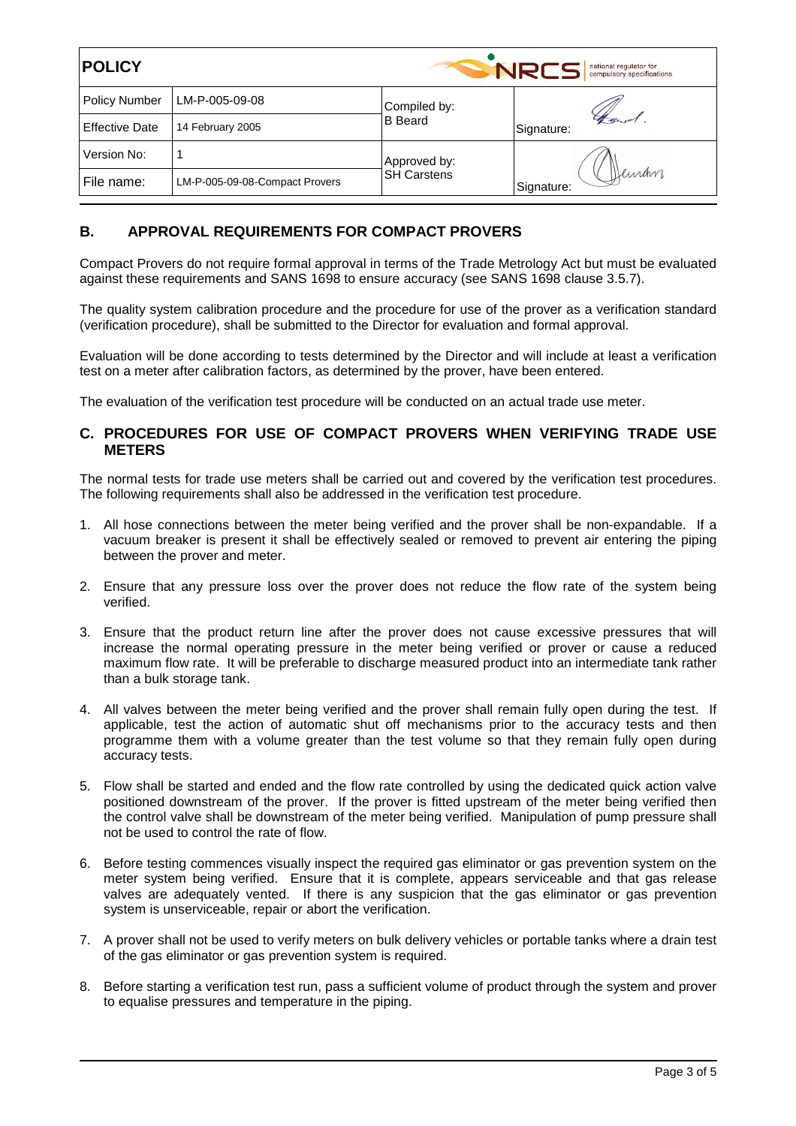| <b>POLICY</b>         |                                |                                    | national regulator for<br>NRCS<br>compulsory specifications |
|-----------------------|--------------------------------|------------------------------------|-------------------------------------------------------------|
| <b>Policy Number</b>  | LM-P-005-09-08                 | Compiled by:                       |                                                             |
| <b>Effective Date</b> | 14 February 2005               | <b>B</b> Beard                     | Signature:                                                  |
| Version No:           |                                | Approved by:<br><b>SH Carstens</b> | Deman<br>Signature:                                         |
| File name:            | LM-P-005-09-08-Compact Provers |                                    |                                                             |

## **B. APPROVAL REQUIREMENTS FOR COMPACT PROVERS**

Compact Provers do not require formal approval in terms of the Trade Metrology Act but must be evaluated against these requirements and SANS 1698 to ensure accuracy (see SANS 1698 clause 3.5.7).

The quality system calibration procedure and the procedure for use of the prover as a verification standard (verification procedure), shall be submitted to the Director for evaluation and formal approval.

Evaluation will be done according to tests determined by the Director and will include at least a verification test on a meter after calibration factors, as determined by the prover, have been entered.

The evaluation of the verification test procedure will be conducted on an actual trade use meter.

#### **C. PROCEDURES FOR USE OF COMPACT PROVERS WHEN VERIFYING TRADE USE METERS**

The normal tests for trade use meters shall be carried out and covered by the verification test procedures. The following requirements shall also be addressed in the verification test procedure.

- 1. All hose connections between the meter being verified and the prover shall be non-expandable. If a vacuum breaker is present it shall be effectively sealed or removed to prevent air entering the piping between the prover and meter.
- 2. Ensure that any pressure loss over the prover does not reduce the flow rate of the system being verified.
- 3. Ensure that the product return line after the prover does not cause excessive pressures that will increase the normal operating pressure in the meter being verified or prover or cause a reduced maximum flow rate. It will be preferable to discharge measured product into an intermediate tank rather than a bulk storage tank.
- 4. All valves between the meter being verified and the prover shall remain fully open during the test. If applicable, test the action of automatic shut off mechanisms prior to the accuracy tests and then programme them with a volume greater than the test volume so that they remain fully open during accuracy tests.
- 5. Flow shall be started and ended and the flow rate controlled by using the dedicated quick action valve positioned downstream of the prover. If the prover is fitted upstream of the meter being verified then the control valve shall be downstream of the meter being verified. Manipulation of pump pressure shall not be used to control the rate of flow.
- 6. Before testing commences visually inspect the required gas eliminator or gas prevention system on the meter system being verified. Ensure that it is complete, appears serviceable and that gas release valves are adequately vented. If there is any suspicion that the gas eliminator or gas prevention system is unserviceable, repair or abort the verification.
- 7. A prover shall not be used to verify meters on bulk delivery vehicles or portable tanks where a drain test of the gas eliminator or gas prevention system is required.
- 8. Before starting a verification test run, pass a sufficient volume of product through the system and prover to equalise pressures and temperature in the piping.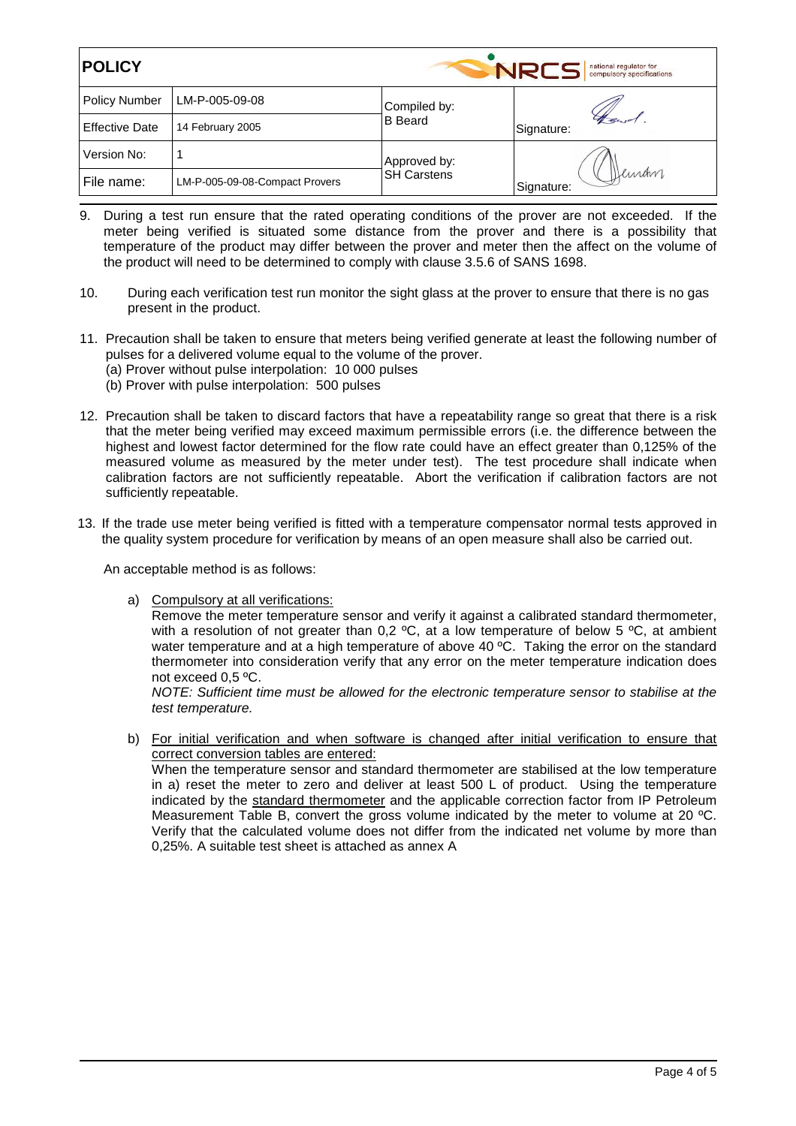| <b>POLICY</b>         |                                |                                    | NRCS<br>national regulator for<br>compulsory specifications |
|-----------------------|--------------------------------|------------------------------------|-------------------------------------------------------------|
| <b>Policy Number</b>  | LM-P-005-09-08                 | Compiled by:                       |                                                             |
| <b>Effective Date</b> | 14 February 2005               | <b>B</b> Beard                     | Signature:                                                  |
| Version No:           |                                | Approved by:<br><b>SH Carstens</b> | Deman<br>Signature:                                         |
| File name:            | LM-P-005-09-08-Compact Provers |                                    |                                                             |

- 9. During a test run ensure that the rated operating conditions of the prover are not exceeded. If the meter being verified is situated some distance from the prover and there is a possibility that temperature of the product may differ between the prover and meter then the affect on the volume of the product will need to be determined to comply with clause 3.5.6 of SANS 1698.
- 10. During each verification test run monitor the sight glass at the prover to ensure that there is no gas present in the product.
- 11. Precaution shall be taken to ensure that meters being verified generate at least the following number of pulses for a delivered volume equal to the volume of the prover. (a) Prover without pulse interpolation: 10 000 pulses (b) Prover with pulse interpolation: 500 pulses
- 12. Precaution shall be taken to discard factors that have a repeatability range so great that there is a risk that the meter being verified may exceed maximum permissible errors (i.e. the difference between the highest and lowest factor determined for the flow rate could have an effect greater than 0,125% of the measured volume as measured by the meter under test). The test procedure shall indicate when calibration factors are not sufficiently repeatable. Abort the verification if calibration factors are not sufficiently repeatable.
- 13. If the trade use meter being verified is fitted with a temperature compensator normal tests approved in the quality system procedure for verification by means of an open measure shall also be carried out.

An acceptable method is as follows:

a) Compulsory at all verifications:

Remove the meter temperature sensor and verify it against a calibrated standard thermometer, with a resolution of not greater than  $0.2 \text{ °C}$ , at a low temperature of below 5  $\text{ °C}$ , at ambient water temperature and at a high temperature of above 40 °C. Taking the error on the standard thermometer into consideration verify that any error on the meter temperature indication does not exceed 0,5 ºC.

NOTE: Sufficient time must be allowed for the electronic temperature sensor to stabilise at the test temperature.

b) For initial verification and when software is changed after initial verification to ensure that correct conversion tables are entered: When the temperature sensor and standard thermometer are stabilised at the low temperature in a) reset the meter to zero and deliver at least 500 L of product. Using the temperature indicated by the standard thermometer and the applicable correction factor from IP Petroleum Measurement Table B, convert the gross volume indicated by the meter to volume at 20 ºC. Verify that the calculated volume does not differ from the indicated net volume by more than 0,25%. A suitable test sheet is attached as annex A